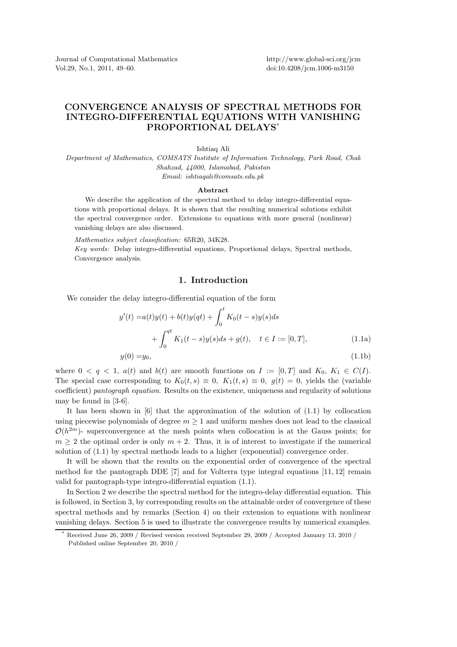Journal of Computational Mathematics Vol.29, No.1, 2011, 49–60.

http://www.global-sci.org/jcm doi:10.4208/jcm.1006-m3150

# CONVERGENCE ANALYSIS OF SPECTRAL METHODS FOR INTEGRO-DIFFERENTIAL EQUATIONS WITH VANISHING PROPORTIONAL DELAYS\*

Ishtiaq Ali

*Department of Mathematics, COMSATS Institute of Information Technology, Park Road, Chak Shahzad, 44000, Islamabad, Pakistan Email: ishtiaqali@comsats.edu.pk*

#### Abstract

We describe the application of the spectral method to delay integro-differential equations with proportional delays. It is shown that the resulting numerical solutions exhibit the spectral convergence order. Extensions to equations with more general (nonlinear) vanishing delays are also discussed.

*Mathematics subject classification:* 65R20, 34K28.

*Key words:* Delay integro-differential equations, Proportional delays, Spectral methods, Convergence analysis.

#### 1. Introduction

We consider the delay integro-differential equation of the form

$$
y'(t) = a(t)y(t) + b(t)y(qt) + \int_0^t K_0(t - s)y(s)ds
$$
  
+ 
$$
\int_0^{qt} K_1(t - s)y(s)ds + g(t), \quad t \in I := [0, T],
$$
 (1.1a)

$$
y(0) = y_0,\tag{1.1b}
$$

where  $0 < q < 1$ ,  $a(t)$  and  $b(t)$  are smooth functions on  $I := [0, T]$  and  $K_0, K_1 \in C(I)$ . The special case corresponding to  $K_0(t, s) \equiv 0$ ,  $K_1(t, s) \equiv 0$ ,  $g(t) = 0$ , yields the (variable coefficient) pantograph equation. Results on the existence, uniqueness and regularity of solutions may be found in [3-6].

It has been shown in [6] that the approximation of the solution of (1.1) by collocation using piecewise polynomials of degree  $m \geq 1$  and uniform meshes does not lead to the classical  $\mathcal{O}(h^{2m})$ - superconvergence at the mesh points when collocation is at the Gauss points; for  $m \geq 2$  the optimal order is only  $m + 2$ . Thus, it is of interest to investigate if the numerical solution of (1.1) by spectral methods leads to a higher (exponential) convergence order.

It will be shown that the results on the exponential order of convergence of the spectral method for the pantograph DDE  $[7]$  and for Volterra type integral equations  $[11, 12]$  remain valid for pantograph-type integro-differential equation (1.1).

In Section 2 we describe the spectral method for the integro-delay differential equation. This is followed, in Section 3, by corresponding results on the attainable order of convergence of these spectral methods and by remarks (Section 4) on their extension to equations with nonlinear vanishing delays. Section 5 is used to illustrate the convergence results by numerical examples.

Received June 26, 2009 / Revised version received September 29, 2009 / Accepted January 13, 2010 / Published online September 20, 2010 /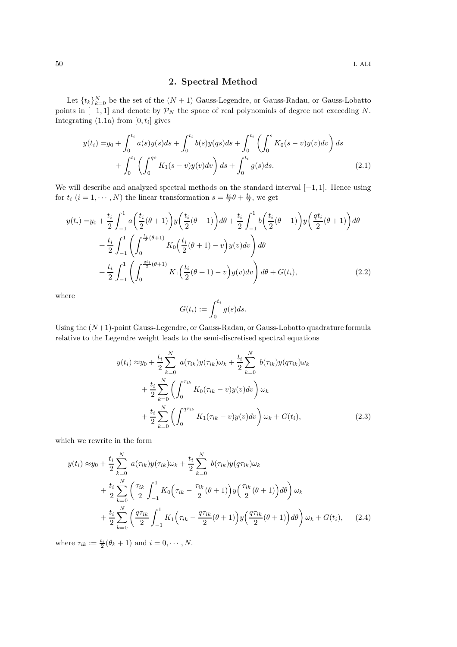## 2. Spectral Method

Let  $\{t_k\}_{k=0}^N$  be the set of the  $(N+1)$  Gauss-Legendre, or Gauss-Radau, or Gauss-Lobatto points in  $[-1, 1]$  and denote by  $\mathcal{P}_N$  the space of real polynomials of degree not exceeding N. Integrating  $(1.1a)$  from  $[0, t_i]$  gives

$$
y(t_i) = y_0 + \int_0^{t_i} a(s)y(s)ds + \int_0^{t_i} b(s)y(qs)ds + \int_0^{t_i} \left(\int_0^s K_0(s-v)y(v)dv\right)ds
$$
  
+ 
$$
\int_0^{t_i} \left(\int_0^{qs} K_1(s-v)y(v)dv\right)ds + \int_0^{t_i} g(s)ds.
$$
 (2.1)

We will describe and analyzed spectral methods on the standard interval  $[-1, 1]$ . Hence using for  $t_i$   $(i = 1, \dots, N)$  the linear transformation  $s = \frac{t_i}{2}\theta + \frac{t_i}{2}$ , we get

$$
y(t_i) = y_0 + \frac{t_i}{2} \int_{-1}^{1} a\left(\frac{t_i}{2}(\theta + 1)\right) y\left(\frac{t_i}{2}(\theta + 1)\right) d\theta + \frac{t_i}{2} \int_{-1}^{1} b\left(\frac{t_i}{2}(\theta + 1)\right) y\left(\frac{qt_i}{2}(\theta + 1)\right) d\theta + \frac{t_i}{2} \int_{-1}^{1} \left(\int_{0}^{\frac{t_i}{2}(\theta + 1)} K_0\left(\frac{t_i}{2}(\theta + 1) - v\right) y(v) dv\right) d\theta + \frac{t_i}{2} \int_{-1}^{1} \left(\int_{0}^{\frac{qt_i}{2}(\theta + 1)} K_1\left(\frac{t_i}{2}(\theta + 1) - v\right) y(v) dv\right) d\theta + G(t_i),
$$
\n(2.2)

where

$$
G(t_i) := \int_0^{t_i} g(s)ds.
$$

Using the  $(N+1)$ -point Gauss-Legendre, or Gauss-Radau, or Gauss-Lobatto quadrature formula relative to the Legendre weight leads to the semi-discretised spectral equations

$$
y(t_i) \approx y_0 + \frac{t_i}{2} \sum_{k=0}^{N} a(\tau_{ik}) y(\tau_{ik}) \omega_k + \frac{t_i}{2} \sum_{k=0}^{N} b(\tau_{ik}) y(q\tau_{ik}) \omega_k + \frac{t_i}{2} \sum_{k=0}^{N} \left( \int_0^{\tau_{ik}} K_0(\tau_{ik} - v) y(v) dv \right) \omega_k + \frac{t_i}{2} \sum_{k=0}^{N} \left( \int_0^{q\tau_{ik}} K_1(\tau_{ik} - v) y(v) dv \right) \omega_k + G(t_i),
$$
\n(2.3)

which we rewrite in the form

$$
y(t_i) \approx y_0 + \frac{t_i}{2} \sum_{k=0}^{N} a(\tau_{ik}) y(\tau_{ik}) \omega_k + \frac{t_i}{2} \sum_{k=0}^{N} b(\tau_{ik}) y(q\tau_{ik}) \omega_k + \frac{t_i}{2} \sum_{k=0}^{N} \left( \frac{\tau_{ik}}{2} \int_{-1}^{1} K_0 (\tau_{ik} - \frac{\tau_{ik}}{2} (\theta + 1)) y(\frac{\tau_{ik}}{2} (\theta + 1)) d\theta \right) \omega_k + \frac{t_i}{2} \sum_{k=0}^{N} \left( \frac{q\tau_{ik}}{2} \int_{-1}^{1} K_1 (\tau_{ik} - \frac{q\tau_{ik}}{2} (\theta + 1)) y(\frac{q\tau_{ik}}{2} (\theta + 1)) d\theta \right) \omega_k + G(t_i), \quad (2.4)
$$

where  $\tau_{ik} := \frac{t_i}{2}(\theta_k + 1)$  and  $i = 0, \dots, N$ .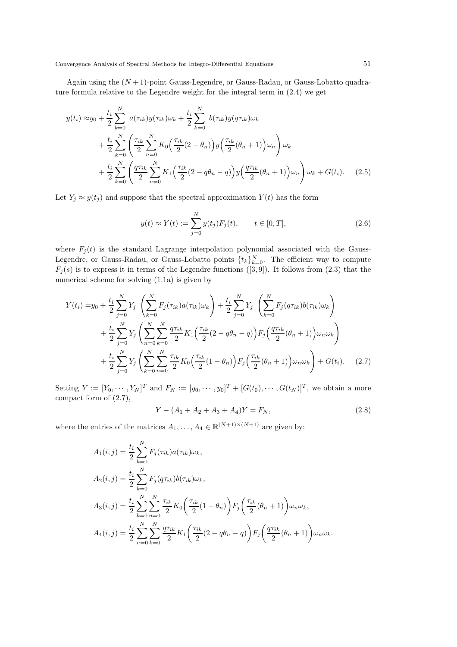Again using the  $(N+1)$ -point Gauss-Legendre, or Gauss-Radau, or Gauss-Lobatto quadrature formula relative to the Legendre weight for the integral term in (2.4) we get

$$
y(t_i) \approx y_0 + \frac{t_i}{2} \sum_{k=0}^{N} a(\tau_{ik}) y(\tau_{ik}) \omega_k + \frac{t_i}{2} \sum_{k=0}^{N} b(\tau_{ik}) y(q\tau_{ik}) \omega_k + \frac{t_i}{2} \sum_{k=0}^{N} \left( \frac{\tau_{ik}}{2} \sum_{n=0}^{N} K_0 \left( \frac{\tau_{ik}}{2} (2 - \theta_n) \right) y \left( \frac{\tau_{ik}}{2} (\theta_n + 1) \right) \omega_n \right) \omega_k + \frac{t_i}{2} \sum_{k=0}^{N} \left( \frac{q\tau_{ik}}{2} \sum_{n=0}^{N} K_1 \left( \frac{\tau_{ik}}{2} (2 - q\theta_n - q) \right) y \left( \frac{q\tau_{ik}}{2} (\theta_n + 1) \right) \omega_n \right) \omega_k + G(t_i). \quad (2.5)
$$

Let  $Y_j \approx y(t_j)$  and suppose that the spectral approximation  $Y(t)$  has the form

$$
y(t) \approx Y(t) := \sum_{j=0}^{N} y(t_j) F_j(t), \qquad t \in [0, T],
$$
\n(2.6)

where  $F_j(t)$  is the standard Lagrange interpolation polynomial associated with the Gauss-Legendre, or Gauss-Radau, or Gauss-Lobatto points  $\{t_k\}_{k=0}^N$ . The efficient way to compute  $F_i(s)$  is to express it in terms of the Legendre functions ([3,9]). It follows from (2.3) that the numerical scheme for solving (1.1a) is given by

$$
Y(t_i) = y_0 + \frac{t_i}{2} \sum_{j=0}^{N} Y_j \left( \sum_{k=0}^{N} F_j(\tau_{ik}) a(\tau_{ik}) \omega_k \right) + \frac{t_i}{2} \sum_{j=0}^{N} Y_j \left( \sum_{k=0}^{N} F_j(q\tau_{ik}) b(\tau_{ik}) \omega_k \right) + \frac{t_i}{2} \sum_{j=0}^{N} Y_j \left( \sum_{n=0}^{N} \sum_{k=0}^{N} \frac{q\tau_{ik}}{2} K_1 \left( \frac{\tau_{ik}}{2} (2 - q\theta_n - q) \right) F_j \left( \frac{q\tau_{ik}}{2} (\theta_n + 1) \right) \omega_n \omega_k \right) + \frac{t_i}{2} \sum_{j=0}^{N} Y_j \left( \sum_{k=0}^{N} \sum_{n=0}^{N} \frac{\tau_{ik}}{2} K_0 \left( \frac{\tau_{ik}}{2} (1 - \theta_n) \right) F_j \left( \frac{\tau_{ik}}{2} (\theta_n + 1) \right) \omega_n \omega_k \right) + G(t_i). \quad (2.7)
$$

Setting  $Y := [Y_0, \cdots, Y_N]^T$  and  $F_N := [y_0, \cdots, y_0]^T + [G(t_0), \cdots, G(t_N)]^T$ , we obtain a more compact form of (2.7),

$$
Y - (A_1 + A_2 + A_3 + A_4)Y = F_N,
$$
\n(2.8)

where the entries of the matrices  $A_1, \ldots, A_4 \in \mathbb{R}^{(N+1)\times(N+1)}$  are given by:

$$
A_1(i,j) = \frac{t_i}{2} \sum_{k=0}^{N} F_j(\tau_{ik}) a(\tau_{ik}) \omega_k,
$$
  
\n
$$
A_2(i,j) = \frac{t_i}{2} \sum_{k=0}^{N} F_j(q\tau_{ik}) b(\tau_{ik}) \omega_k,
$$
  
\n
$$
A_3(i,j) = \frac{t_i}{2} \sum_{k=0}^{N} \sum_{n=0}^{N} \frac{\tau_{ik}}{2} K_0 \left( \frac{\tau_{ik}}{2} (1 - \theta_n) \right) F_j \left( \frac{\tau_{ik}}{2} (\theta_n + 1) \right) \omega_n \omega_k,
$$
  
\n
$$
A_4(i,j) = \frac{t_i}{2} \sum_{n=0}^{N} \sum_{k=0}^{N} \frac{q \tau_{ik}}{2} K_1 \left( \frac{\tau_{ik}}{2} (2 - q \theta_n - q) \right) F_j \left( \frac{q \tau_{ik}}{2} (\theta_n + 1) \right) \omega_n \omega_k.
$$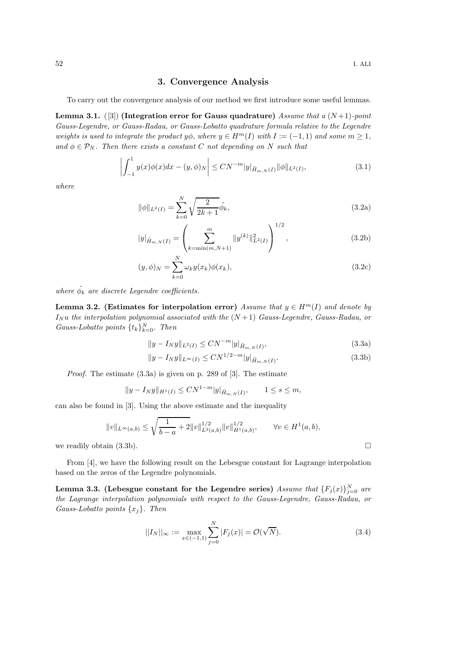### 3. Convergence Analysis

To carry out the convergence analysis of our method we first introduce some useful lemmas.

Lemma 3.1. ([3]) (Integration error for Gauss quadrature) Assume that a  $(N+1)$ -point Gauss-Legendre, or Gauss-Radau, or Gauss-Lobatto quadrature formula relative to the Legendre weights is used to integrate the product  $y\phi$ , where  $y \in H^m(I)$  with  $I := (-1,1)$  and some  $m \geq 1$ , and  $\phi \in \mathcal{P}_N$ . Then there exists a constant C not depending on N such that

$$
\left| \int_{-1}^{1} y(x)\phi(x)dx - (y,\phi)_N \right| \le CN^{-m}|y|_{\tilde{H}_{m,N}(I)} \|\phi\|_{L^2(I)},
$$
\n(3.1)

where

$$
\|\phi\|_{L^2(I)} = \sum_{k=0}^N \sqrt{\frac{2}{2k+1}} \tilde{\phi_k},\tag{3.2a}
$$

$$
|y|_{\tilde{H}_{m,N}(I)} = \left(\sum_{k=\min(m,N+1)}^m \|y^{(k)}\|_{L^2(I)}^2\right)^{1/2},\tag{3.2b}
$$

$$
(y, \phi)_N = \sum_{k=0}^N \omega_k y(x_k) \phi(x_k), \qquad (3.2c)
$$

where  $\tilde{\phi_k}$  are discrete Legendre coefficients.

Lemma 3.2. (Estimates for interpolation error) Assume that  $y \in H^m(I)$  and denote by  $I_N u$  the interpolation polynomial associated with the  $(N+1)$  Gauss-Legendre, Gauss-Radau, or Gauss-Lobatto points  $\{t_k\}_{k=0}^N$ . Then

$$
||y - I_N y||_{L^2(I)} \le CN^{-m}|y|_{\tilde{H}_{m,N}(I)},
$$
\n(3.3a)

$$
||y - I_N y||_{L^{\infty}(I)} \le CN^{1/2-m}|y|_{\tilde{H}_{m,N}(I)}.
$$
\n(3.3b)

Proof. The estimate (3.3a) is given on p. 289 of [3]. The estimate

$$
||y - I_Ny||_{H^1(I)} \le CN^{1-m}|y|_{\tilde{H}_{m,N}(I)}, \qquad 1 \le s \le m,
$$

can also be found in [3]. Using the above estimate and the inequality

$$
||v||_{L^{\infty}(a,b)} \le \sqrt{\frac{1}{b-a} + 2} ||v||_{L^{2}(a,b)}^{1/2} ||v||_{H^{1}(a,b)}^{1/2}, \qquad \forall v \in H^{1}(a,b),
$$
  
we readily obtain (3.3b).

From [4], we have the following result on the Lebesgue constant for Lagrange interpolation based on the zeros of the Legendre polynomials.

Lemma 3.3. (Lebesgue constant for the Legendre series)  $\emph{Assume that }\{F_j(x)\}_{j=0}^N$  are the Lagrange interpolation polynomials with respect to the Gauss-Legendre, Gauss-Radau, or Gauss-Lobatto points  $\{x_i\}$ . Then

$$
||I_N||_{\infty} := \max_{x \in (-1,1)} \sum_{j=0}^{N} |F_j(x)| = \mathcal{O}(\sqrt{N}).
$$
\n(3.4)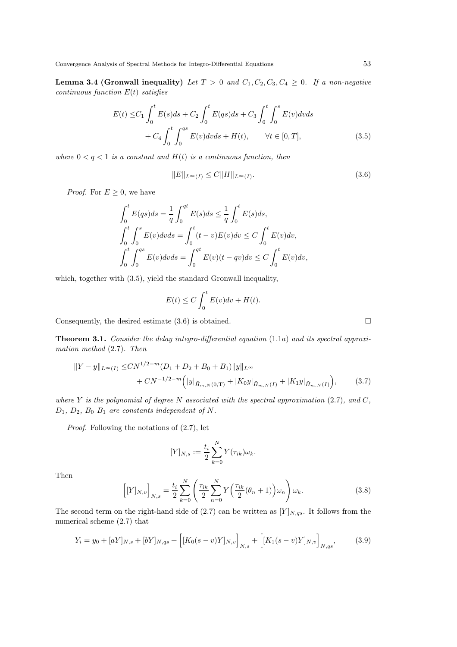Lemma 3.4 (Gronwall inequality) Let  $T > 0$  and  $C_1, C_2, C_3, C_4 \geq 0$ . If a non-negative continuous function  $E(t)$  satisfies

$$
E(t) \leq C_1 \int_0^t E(s)ds + C_2 \int_0^t E(qs)ds + C_3 \int_0^t \int_0^s E(v)dvds + C_4 \int_0^t \int_0^{qs} E(v)dvds + H(t), \qquad \forall t \in [0, T],
$$
\n(3.5)

where  $0 < q < 1$  is a constant and  $H(t)$  is a continuous function, then

$$
||E||_{L^{\infty}(I)} \leq C||H||_{L^{\infty}(I)}.
$$
\n(3.6)

*Proof.* For  $E \geq 0$ , we have

$$
\int_0^t E(qs)ds = \frac{1}{q} \int_0^{qt} E(s)ds \le \frac{1}{q} \int_0^t E(s)ds,
$$
  

$$
\int_0^t \int_0^s E(v)dvds = \int_0^t (t-v)E(v)dv \le C \int_0^t E(v)dv,
$$
  

$$
\int_0^t \int_0^{qs} E(v)dvds = \int_0^{qt} E(v)(t-qv)dv \le C \int_0^t E(v)dv,
$$

which, together with  $(3.5)$ , yield the standard Gronwall inequality,

$$
E(t) \le C \int_0^t E(v) dv + H(t).
$$

Consequently, the desired estimate  $(3.6)$  is obtained.

Theorem 3.1. Consider the delay integro-differential equation (1.1a) and its spectral approximation method (2.7). Then

$$
||Y - y||_{L^{\infty}(I)} \le CN^{1/2-m}(D_1 + D_2 + B_0 + B_1)||y||_{L^{\infty}} + CN^{-1/2-m} (|y|_{\tilde{H}_{m,N}(0,T)} + |K_0y|_{\tilde{H}_{m,N}(I)} + |K_1y|_{\tilde{H}_{m,N}(I)}),
$$
(3.7)

where Y is the polynomial of degree N associated with the spectral approximation  $(2.7)$ , and C,  $D_1$ ,  $D_2$ ,  $B_0$   $B_1$  are constants independent of N.

Proof. Following the notations of (2.7), let

$$
[Y]_{N,s} := \frac{t_i}{2} \sum_{k=0}^{N} Y(\tau_{ik}) \omega_k.
$$

Then

$$
\left[ [Y]_{N,v} \right]_{N,s} = \frac{t_i}{2} \sum_{k=0}^{N} \left( \frac{\tau_{ik}}{2} \sum_{n=0}^{N} Y \left( \frac{\tau_{ik}}{2} (\theta_n + 1) \right) \omega_n \right) \omega_k.
$$
 (3.8)

The second term on the right-hand side of (2.7) can be written as  $[Y]_{N,q,s}$ . It follows from the numerical scheme (2.7) that

$$
Y_i = y_0 + [aY]_{N,s} + [bY]_{N,qs} + \left[ [K_0(s-v)Y]_{N,v} \right]_{N,s} + \left[ [K_1(s-v)Y]_{N,v} \right]_{N,qs},\tag{3.9}
$$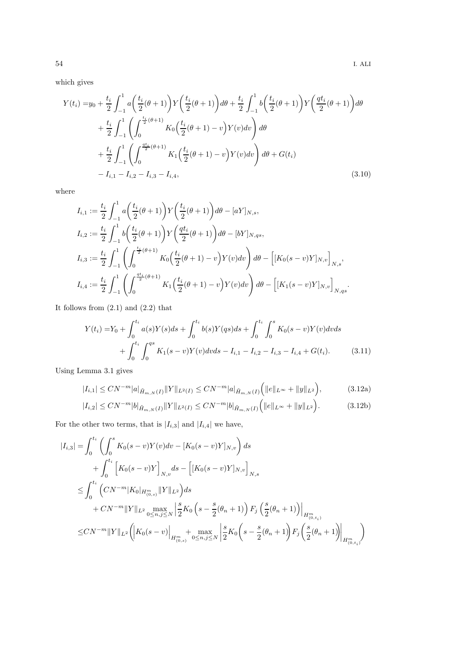which gives

$$
Y(t_i) = y_0 + \frac{t_i}{2} \int_{-1}^{1} a\left(\frac{t_i}{2}(\theta + 1)\right) Y\left(\frac{t_i}{2}(\theta + 1)\right) d\theta + \frac{t_i}{2} \int_{-1}^{1} b\left(\frac{t_i}{2}(\theta + 1)\right) Y\left(\frac{qt_i}{2}(\theta + 1)\right) d\theta + \frac{t_i}{2} \int_{-1}^{1} \left(\int_{0}^{\frac{t_i}{2}(\theta + 1)} K_0\left(\frac{t_i}{2}(\theta + 1) - v\right) Y(v) dv\right) d\theta + \frac{t_i}{2} \int_{-1}^{1} \left(\int_{0}^{\frac{qt_i}{2}(\theta + 1)} K_1\left(\frac{t_i}{2}(\theta + 1) - v\right) Y(v) dv\right) d\theta + G(t_i) - I_{i,1} - I_{i,2} - I_{i,3} - I_{i,4}, \tag{3.10}
$$

where

$$
I_{i,1} := \frac{t_i}{2} \int_{-1}^1 a\left(\frac{t_i}{2}(\theta+1)\right) Y\left(\frac{t_i}{2}(\theta+1)\right) d\theta - [aY]_{N,s},
$$
  
\n
$$
I_{i,2} := \frac{t_i}{2} \int_{-1}^1 b\left(\frac{t_i}{2}(\theta+1)\right) Y\left(\frac{qt_i}{2}(\theta+1)\right) d\theta - [bY]_{N,qs},
$$
  
\n
$$
I_{i,3} := \frac{t_i}{2} \int_{-1}^1 \left(\int_0^{\frac{t_i}{2}(\theta+1)} K_0\left(\frac{t_i}{2}(\theta+1) - v\right) Y(v) dv\right) d\theta - \left[ [K_0(s-v)Y]_{N,v} \right]_{N,s},
$$
  
\n
$$
I_{i,4} := \frac{t_i}{2} \int_{-1}^1 \left(\int_0^{\frac{qt_i}{2}(\theta+1)} K_1\left(\frac{t_i}{2}(\theta+1) - v\right) Y(v) dv\right) d\theta - \left[ [K_1(s-v)Y]_{N,v} \right]_{N,qs}.
$$

It follows from  $(2.1)$  and  $(2.2)$  that

$$
Y(t_i) = Y_0 + \int_0^{t_i} a(s)Y(s)ds + \int_0^{t_i} b(s)Y(qs)ds + \int_0^{t_i} \int_0^s K_0(s-v)Y(v)dvds
$$
  
+ 
$$
\int_0^{t_i} \int_0^{qs} K_1(s-v)Y(v)dvds - I_{i,1} - I_{i,2} - I_{i,3} - I_{i,4} + G(t_i).
$$
 (3.11)

Using Lemma 3.1 gives

$$
|I_{i,1}| \le CN^{-m}|a|_{\tilde{H}_{m,N}(I)} \|Y\|_{L^2(I)} \le CN^{-m}|a|_{\tilde{H}_{m,N}(I)} \Big( \|e\|_{L^\infty} + \|y\|_{L^2} \Big),\tag{3.12a}
$$

$$
|I_{i,2}| \le CN^{-m}|b|_{\tilde{H}_{m,N}(I)} \|Y\|_{L^2(I)} \le CN^{-m}|b|_{\tilde{H}_{m,N}(I)} \Big( \|e\|_{L^\infty} + \|y\|_{L^2} \Big). \tag{3.12b}
$$

For the other two terms, that is  $\left|I_{i,3}\right|$  and  $\left|I_{i,4}\right|$  we have,

$$
|I_{i,3}| = \int_0^{t_i} \left( \int_0^s K_0(s-v)Y(v)dv - [K_0(s-v)Y]_{N,v} \right) ds
$$
  
+ 
$$
\int_0^{t_i} \left[ K_0(s-v)Y \right]_{N,v} ds - \left[ [K_0(s-v)Y]_{N,v} \right]_{N,s}
$$
  

$$
\leq \int_0^{t_i} \left( CN^{-m} |K_0|_{H_{(0,s)}^m} ||Y||_{L^2} \right) ds
$$
  
+ 
$$
CN^{-m} ||Y||_{L^2} \max_{0 \le n, j \le N} \left| \frac{s}{2} K_0 \left( s - \frac{s}{2} (\theta_n + 1) \right) F_j \left( \frac{s}{2} (\theta_n + 1) \right) \right|_{H_{(0,t_i)}^m}
$$
  

$$
\leq CN^{-m} ||Y||_{L^2} \left( \left| K_0(s-v) \right|_{H_{(0,s)}^m} + \max_{0 \le n, j \le N} \left| \frac{s}{2} K_0 \left( s - \frac{s}{2} (\theta_n + 1) \right) F_j \left( \frac{s}{2} (\theta_n + 1) \right) \right|_{H_{(0,t_i)}^m} \right)
$$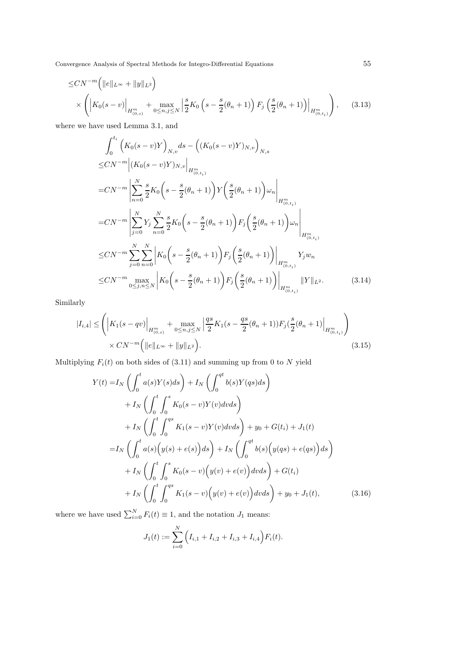Convergence Analysis of Spectral Methods for Integro-Differential Equations 55

$$
\leq CN^{-m} \left( ||e||_{L^{\infty}} + ||y||_{L^{2}} \right)
$$
  
\$\times \left( \left| K\_{0}(s-v) \right|\_{H^{m}\_{(0,s)}} + \max\_{0 \leq n, j \leq N} \left| \frac{s}{2} K\_{0} \left( s - \frac{s}{2} (\theta\_{n} + 1) \right) F\_{j} \left( \frac{s}{2} (\theta\_{n} + 1) \right) \right|\_{H^{m}\_{(0,t\_{i})}} \right), \quad (3.13)\$

where we have used Lemma 3.1, and

$$
\int_{0}^{t_{i}} \left(K_{0}(s-v)Y\right)_{N,v} ds - \left((K_{0}(s-v)Y)_{N,v}\right)_{N,s} \n\le CN^{-m} \left| (K_{0}(s-v)Y)_{N,v} \right|_{H_{(0,t_{i})}^{m}} \n= CN^{-m} \left| \sum_{n=0}^{N} \frac{s}{2} K_{0} \left(s - \frac{s}{2}(\theta_{n} + 1)\right) Y \left(\frac{s}{2}(\theta_{n} + 1)\right) \omega_{n} \right|_{H_{(0,t_{i})}^{m}} \n= CN^{-m} \left| \sum_{j=0}^{N} Y_{j} \sum_{n=0}^{N} \frac{s}{2} K_{0} \left(s - \frac{s}{2}(\theta_{n} + 1)\right) F_{j} \left(\frac{s}{2}(\theta_{n} + 1)\right) \omega_{n} \right|_{H_{(0,t_{i})}^{m}} \n\le CN^{-m} \sum_{j=0}^{N} \sum_{n=0}^{N} \left| K_{0} \left(s - \frac{s}{2}(\theta_{n} + 1)\right) F_{j} \left(\frac{s}{2}(\theta_{n} + 1)\right) \right|_{H_{(0,t_{i})}^{m}} Y_{j} w_{n} \n\le CN^{-m} \max_{0 \le j, n \le N} \left| K_{0} \left(s - \frac{s}{2}(\theta_{n} + 1)\right) F_{j} \left(\frac{s}{2}(\theta_{n} + 1)\right) \right|_{H_{(0,t_{i})}^{m}} \|Y\|_{L^{2}}.
$$
\n(3.14)

Similarly

$$
|I_{i,4}| \leq \left( \left| K_1(s - qv) \right|_{H_{(0,s)}^m} + \max_{0 \leq n, j \leq N} \left| \frac{qs}{2} K_1(s - \frac{qs}{2}(\theta_n + 1)) F_j(\frac{s}{2}(\theta_n + 1)) \right|_{H_{(0,t_i)}^m} \right) \times CN^{-m} \left( \|e\|_{L^\infty} + \|y\|_{L^2} \right).
$$
\n(3.15)

Multiplying  $F_i(t)$  on both sides of (3.11) and summing up from 0 to N yield

$$
Y(t) = I_N \left( \int_0^t a(s)Y(s)ds \right) + I_N \left( \int_0^{qt} b(s)Y(qs)ds \right) + I_N \left( \int_0^t \int_0^s K_0(s-v)Y(v)dvds \right) + I_N \left( \int_0^t \int_0^{qs} K_1(s-v)Y(v)dvds \right) + y_0 + G(t_i) + J_1(t) = I_N \left( \int_0^t a(s) \left( y(s) + e(s) \right)ds \right) + I_N \left( \int_0^{qt} b(s) \left( y(qs) + e(qs) \right)ds \right) + I_N \left( \int_0^t \int_0^s K_0(s-v) \left( y(v) + e(v) \right)dvds \right) + G(t_i) + I_N \left( \int_0^t \int_0^{qs} K_1(s-v) \left( y(v) + e(v) \right)dvds \right) + y_0 + J_1(t), \tag{3.16}
$$

where we have used  $\sum_{i=0}^{N} F_i(t) \equiv 1$ , and the notation  $J_1$  means:

$$
J_1(t) := \sum_{i=0}^N \left( I_{i,1} + I_{i,2} + I_{i,3} + I_{i,4} \right) F_i(t).
$$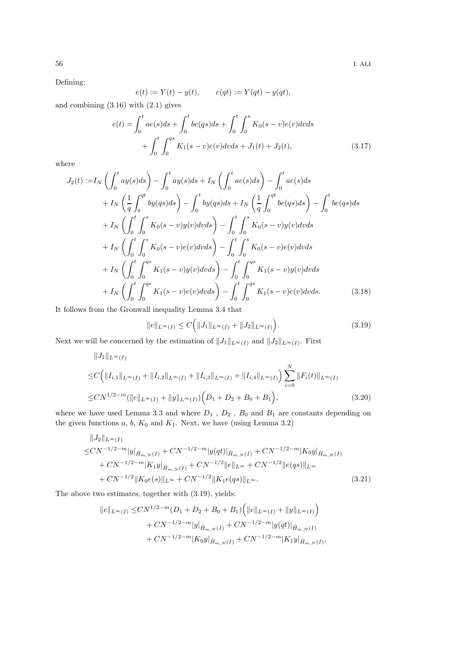Defining:

$$
e(t) := Y(t) - y(t), \qquad e(qt) := Y(qt) - y(qt),
$$

and combining  $(3.16)$  with  $(2.1)$  gives

$$
e(t) = \int_0^t a e(s) ds + \int_0^t b e(qs) ds + \int_0^t \int_0^s K_0(s - v) e(v) dv ds
$$
  
+ 
$$
\int_0^t \int_0^{qs} K_1(s - v) e(v) dv ds + J_1(t) + J_2(t),
$$
 (3.17)

where

$$
J_2(t) := I_N \left( \int_0^t a y(s) ds \right) - \int_0^t a y(s) ds + I_N \left( \int_0^t a e(s) ds \right) - \int_0^t a e(s) ds + I_N \left( \frac{1}{q} \int_0^{qt} b y(qs) ds \right) - \int_0^t b y(qs) ds + I_N \left( \frac{1}{q} \int_0^{qt} b e(qs) ds \right) - \int_0^t b e(qs) ds + I_N \left( \int_0^t \int_0^s K_0 (s - v) y(v) dv ds \right) - \int_0^t \int_0^s K_0 (s - v) y(v) dv ds + I_N \left( \int_0^t \int_0^s K_0 (s - v) e(v) dv ds \right) - \int_0^t \int_0^s K_0 (s - v) e(v) dv ds + I_N \left( \int_0^t \int_0^{qs} K_1 (s - v) y(v) dv ds \right) - \int_0^t \int_0^{qs} K_1 (s - v) y(v) dv ds + I_N \left( \int_0^t \int_0^{qs} K_1 (s - v) e(v) dv ds \right) - \int_0^t \int_0^{qs} K_1 (s - v) e(v) dv ds.
$$
(3.18)

It follows from the Gronwall inequality Lemma 3.4 that

$$
||e||_{L^{\infty}(I)} \leq C\Big(||J_1||_{L^{\infty}(I)} + ||J_2||_{L^{\infty}(I)}\Big).
$$
\n(3.19)

Next we will be concerned by the estimation of  $||J_1||_{L^{\infty}(I)}$  and  $||J_2||_{L^{\infty}(I)}$ . First

$$
||J_{1}||_{L^{\infty}(I)}
$$
  
\n
$$
\leq C \Big( ||I_{i,1}||_{L^{\infty}(I)} + ||I_{i,2}||_{L^{\infty}(I)} + ||I_{i,3}||_{L^{\infty}(I)} + ||I_{i,4}||_{L^{\infty}(I)} \Big) \sum_{i=0}^{N} ||F_{i}(t)||_{L^{\infty}(I)}
$$
  
\n
$$
\leq CN^{1/2-m} (||e||_{L^{\infty}(I)} + ||y||_{L^{\infty}(I)}) \Big( D_{1} + D_{2} + B_{0} + B_{1} \Big),
$$
\n(3.20)

where we have used Lemma 3.3 and where  $\mathcal{D}_1$  ,  $\mathcal{D}_2$  ,  $\mathcal{B}_0$  and  $\mathcal{B}_1$  are constants depending on the given functions  $a, b, K_0$  and  $K_1$ . Next, we have (using Lemma 3.2)

$$
||J_{2}||_{L^{\infty}(I)}
$$
  
\n
$$
\leq CN^{-1/2-m}|y|_{\tilde{H}_{m,N}(I)} + CN^{-1/2-m}|y(qt)|_{\tilde{H}_{m,N}(I)} + CN^{-1/2-m}|K_{0}y|_{\tilde{H}_{m,N}(I)}
$$
  
\n
$$
+ CN^{-1/2-m}|K_{1}y|_{\tilde{H}_{m,N}(I)} + CN^{-1/2}||e||_{L^{\infty}} + CN^{-1/2}||e(qs)||_{L^{\infty}}
$$
  
\n
$$
+ CN^{-1/2}||K_{0}e(s)||_{L^{\infty}} + CN^{-1/2}||K_{1}e(qs)||_{L^{\infty}}.
$$
\n(3.21)

The above two estimates, together with (3.19), yields:

$$
||e||_{L^{\infty}(I)} \le CN^{1/2-m}(D_1 + D_2 + B_0 + B_1) \Big( ||e||_{L^{\infty}(I)} + ||y||_{L^{\infty}(I)} \Big) + CN^{-1/2-m} |y|_{\tilde{H}_{m,N}(I)} + CN^{-1/2-m} |y(qt)|_{\tilde{H}_{m,N}(I)} + CN^{-1/2-m} |K_0 y|_{\tilde{H}_{m,N}(I)} + CN^{-1/2-m} |K_1 y|_{\tilde{H}_{m,N}(I)},
$$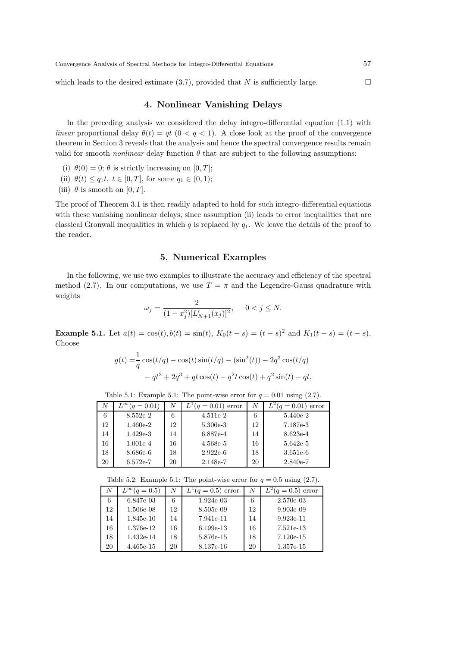which leads to the desired estimate (3.7), provided that N is sufficiently large.

## 4. Nonlinear Vanishing Delays

In the preceding analysis we considered the delay integro-differential equation (1.1) with linear proportional delay  $\theta(t) = qt$  ( $0 < q < 1$ ). A close look at the proof of the convergence theorem in Section 3 reveals that the analysis and hence the spectral convergence results remain valid for smooth *nonlinear* delay function  $\theta$  that are subject to the following assumptions:

- (i)  $\theta(0) = 0$ ;  $\theta$  is strictly increasing on [0, T];
- (ii)  $\theta(t) \leq q_1 t, t \in [0, T]$ , for some  $q_1 \in (0, 1)$ ;
- (iii)  $\theta$  is smooth on [0, T].

The proof of Theorem 3.1 is then readily adapted to hold for such integro-differential equations with these vanishing nonlinear delays, since assumption (ii) leads to error inequalities that are classical Gronwall inequalities in which  $q$  is replaced by  $q_1$ . We leave the details of the proof to the reader.

## 5. Numerical Examples

In the following, we use two examples to illustrate the accuracy and efficiency of the spectral method (2.7). In our computations, we use  $T = \pi$  and the Legendre-Gauss quadrature with weights

$$
\omega_j = \frac{2}{(1 - x_j^2)[L'_{N+1}(x_j)]^2}, \quad 0 < j \le N.
$$

**Example 5.1.** Let  $a(t) = \cos(t), b(t) = \sin(t), K_0(t - s) = (t - s)^2$  and  $K_1(t - s) = (t - s)$ . Choose

$$
g(t) = \frac{1}{q}\cos(t/q) - \cos(t)\sin(t/q) - (\sin^2(t)) - 2q^3\cos(t/q) - qt^2 + 2q^3 + qt\cos(t) - q^2t\cos(t) + q^2\sin(t) - qt,
$$

| Table 5.1: Example 5.1: The point-wise error for $q = 0.01$ using (2.7). |  |  |  |
|--------------------------------------------------------------------------|--|--|--|
|                                                                          |  |  |  |

| A  | $L^{\infty}(q=0.01)$ | N  | $L^{1}(q=0.01)$ error | N  | $f(q=0.01)$ error |
|----|----------------------|----|-----------------------|----|-------------------|
| 6  | 8.552e-2             | 6  | $4.511e-2$            | 6  | $5.440e-2$        |
| 12 | $1.460e-2$           | 12 | 5.306e-3              | 12 | 7.187e-3          |
| 14 | $1.429e-3$           | 14 | 6.887e-4              | 14 | 8.623e-4          |
| 16 | $1.001e-4$           | 16 | 4.568e-5              | 16 | 5.642e-5          |
| 18 | 8.686e-6             | 18 | $2.922e-6$            | 18 | $3.651e-6$        |
| 20 | $6.572e-7$           | 20 | 2.148e-7              | 20 | $2.840e-7$        |

Table 5.2: Example 5.1: The point-wise error for  $q = 0.5$  using (2.7).

| N  | $L^{\infty}(q=0.5)$ | N  | $L^{1}(q = 0.5)$ error | N  | $L^2(q=0.5)$ error |
|----|---------------------|----|------------------------|----|--------------------|
| 6  | 6.847e-03           | 6  | $1.924e-03$            | 6  | 2.570e-03          |
| 12 | 1.506e-08           | 12 | 8.505e-09              | 12 | $9.903e-09$        |
| 14 | 1.845e-10           | 14 | 7.941e-11              | 14 | $9.923e-11$        |
| 16 | 1.376e-12           | 16 | $6.199e-13$            | 16 | 7.521e-13          |
| 18 | 1.432e-14           | 18 | 5.876e-15              | 18 | $7.120e-15$        |
| 20 | 4.465e-15           | 20 | 8.137e-16              | 20 | 1.357e-15          |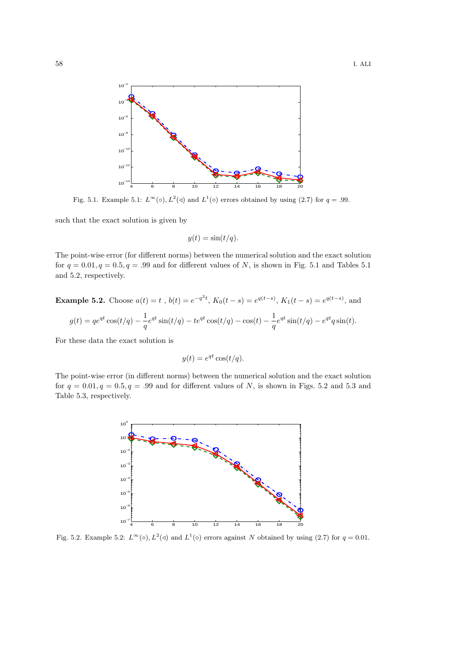

Fig. 5.1. Example 5.1:  $L^{\infty}(\circ), L^{2}(\circ)$  and  $L^{1}(\circ)$  errors obtained by using (2.7) for  $q = .99$ .

such that the exact solution is given by

$$
y(t) = \sin(t/q).
$$

The point-wise error (for different norms) between the numerical solution and the exact solution for  $q = 0.01, q = 0.5, q = .99$  and for different values of N, is shown in Fig. 5.1 and Tables 5.1 and 5.2, respectively.

**Example 5.2.** Choose 
$$
a(t) = t
$$
,  $b(t) = e^{-q^2t}$ ,  $K_0(t - s) = e^{q(t - s)}$ ,  $K_1(t - s) = e^{q(t - s)}$ , and  

$$
g(t) = q e^{qt} \cos(t/q) - \frac{1}{q} e^{qt} \sin(t/q) - t e^{qt} \cos(t/q) - \cos(t) - \frac{1}{q} e^{qt} \sin(t/q) - e^{qt} q \sin(t).
$$

For these data the exact solution is

$$
y(t) = e^{qt} \cos(t/q).
$$

The point-wise error (in different norms) between the numerical solution and the exact solution for  $q = 0.01, q = 0.5, q = .99$  and for different values of N, is shown in Figs. 5.2 and 5.3 and Table 5.3, respectively.



Fig. 5.2. Example 5.2:  $L^{\infty}(\circ)$ ,  $L^{2}(\circ)$  and  $L^{1}(\circ)$  errors against N obtained by using (2.7) for  $q = 0.01$ .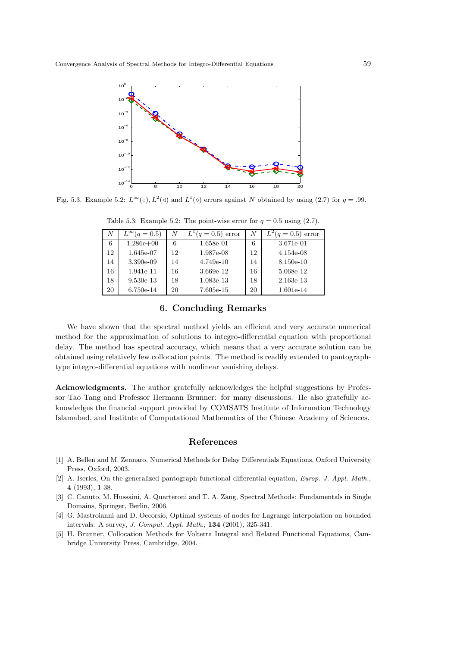

Fig. 5.3. Example 5.2:  $L^{\infty}(\circ), L^{2}(\circ)$  and  $L^{1}(\circ)$  errors against N obtained by using (2.7) for  $q = .99$ .

| N  | $L^{\infty}(q=0.5)$ |    | $L^{1}(q = 0.5)$ error | N  | $L^2(q = 0.5)$ error |
|----|---------------------|----|------------------------|----|----------------------|
| 6  | $1.286e+00$         | 6  | 1.658e-01              | 6  | 3.671e-01            |
| 12 | 1.645e-07           | 12 | 1.987e-08              | 12 | $4.154e-08$          |
| 14 | 3.390e-09           | 14 | $4.749e-10$            | 14 | 8.150e-10            |
| 16 | 1.941e-11           | 16 | 3.669e-12              | 16 | 5.068e-12            |
| 18 | $9.530e-13$         | 18 | 1.083e-13              | 18 | 2.163e-13            |
| 20 | 6.750e-14           | 20 | 7.605e-15              | 20 | 1.601e-14            |

Table 5.3: Example 5.2: The point-wise error for  $q = 0.5$  using (2.7).

### 6. Concluding Remarks

We have shown that the spectral method yields an efficient and very accurate numerical method for the approximation of solutions to integro-differential equation with proportional delay. The method has spectral accuracy, which means that a very accurate solution can be obtained using relatively few collocation points. The method is readily extended to pantographtype integro-differential equations with nonlinear vanishing delays.

Acknowledgments. The author gratefully acknowledges the helpful suggestions by Professor Tao Tang and Professor Hermann Brunner: for many discussions. He also gratefully acknowledges the financial support provided by COMSATS Institute of Information Technology Islamabad, and Institute of Computational Mathematics of the Chinese Academy of Sciences.

#### References

- [1] A. Bellen and M. Zennaro, Numerical Methods for Delay Differentials Equations, Oxford University Press, Oxford, 2003.
- [2] A. Iserles, On the generalized pantograph functional differential equation, *Europ. J. Appl. Math.*, 4 (1993), 1-38.
- [3] C. Canuto, M. Hussaini, A. Quarteroni and T. A. Zang, Spectral Methods: Fundamentals in Single Domains, Springer, Berlin, 2006.
- [4] G. Mastroianni and D. Occorsio, Optimal systems of nodes for Lagrange interpolation on bounded intervals: A survey, *J. Comput. Appl. Math*., 134 (2001), 325-341.
- [5] H. Brunner, Collocation Methods for Volterra Integral and Related Functional Equations, Cambridge University Press, Cambridge, 2004.